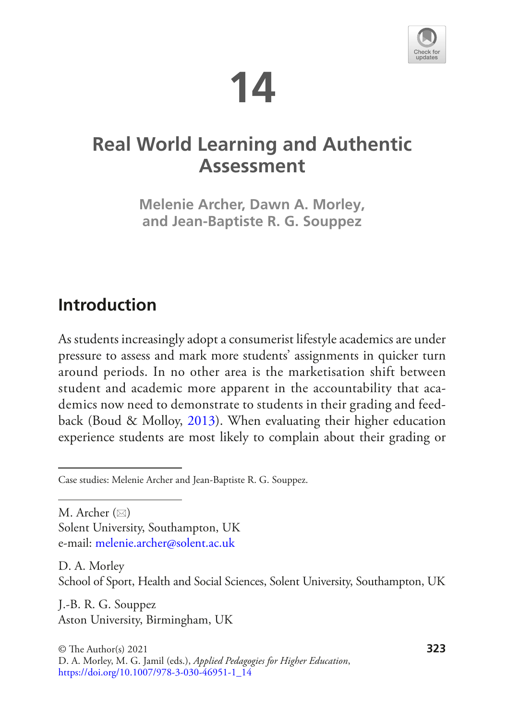# **14**



# **Real World Learning and Authentic Assessment**

**Melenie Archer, Dawn A. Morley, and Jean-Baptiste R. G. Souppez**

# **Introduction**

As students increasingly adopt a consumerist lifestyle academics are under pressure to assess and mark more students' assignments in quicker turn around periods. In no other area is the marketisation shift between student and academic more apparent in the accountability that academics now need to demonstrate to students in their grading and feedback (Boud & Molloy, [2013\)](#page-17-0). When evaluating their higher education experience students are most likely to complain about their grading or

M. Archer  $(\boxtimes)$ Solent University, Southampton, UK e-mail[: melenie.archer@solent.ac.uk](mailto:melenie.archer@solent.ac.uk)

D. A. Morley School of Sport, Health and Social Sciences, Solent University, Southampton, UK

J.-B. R. G. Souppez Aston University, Birmingham, UK

Case studies: Melenie Archer and Jean-Baptiste R. G. Souppez.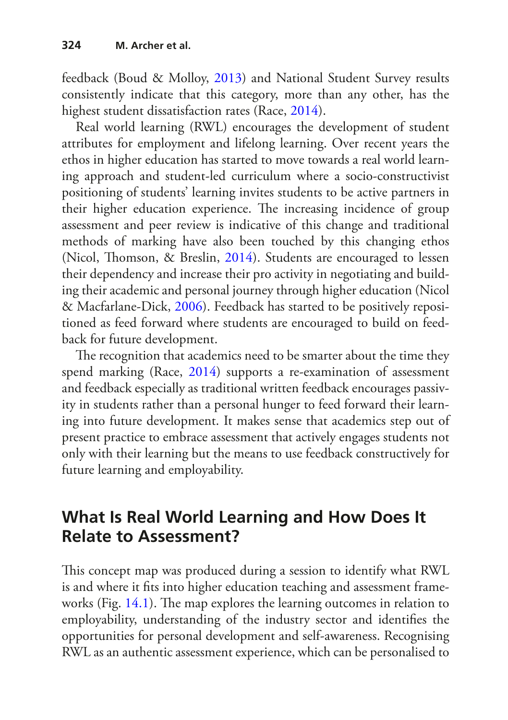feedback (Boud & Molloy, [2013\)](#page-17-0) and National Student Survey results consistently indicate that this category, more than any other, has the highest student dissatisfaction rates (Race, [2014](#page-18-0)).

Real world learning (RWL) encourages the development of student attributes for employment and lifelong learning. Over recent years the ethos in higher education has started to move towards a real world learning approach and student-led curriculum where a socio-constructivist positioning of students' learning invites students to be active partners in their higher education experience. The increasing incidence of group assessment and peer review is indicative of this change and traditional methods of marking have also been touched by this changing ethos (Nicol, Thomson, & Breslin, [2014\)](#page-18-1). Students are encouraged to lessen their dependency and increase their pro activity in negotiating and building their academic and personal journey through higher education (Nicol & Macfarlane-Dick, [2006](#page-18-2)). Feedback has started to be positively repositioned as feed forward where students are encouraged to build on feedback for future development.

The recognition that academics need to be smarter about the time they spend marking (Race, [2014\)](#page-18-0) supports a re-examination of assessment and feedback especially as traditional written feedback encourages passivity in students rather than a personal hunger to feed forward their learning into future development. It makes sense that academics step out of present practice to embrace assessment that actively engages students not only with their learning but the means to use feedback constructively for future learning and employability.

# **What Is Real World Learning and How Does It Relate to Assessment?**

This concept map was produced during a session to identify what RWL is and where it fits into higher education teaching and assessment frameworks (Fig. [14.1](#page-2-0)). The map explores the learning outcomes in relation to employability, understanding of the industry sector and identifies the opportunities for personal development and self-awareness. Recognising RWL as an authentic assessment experience, which can be personalised to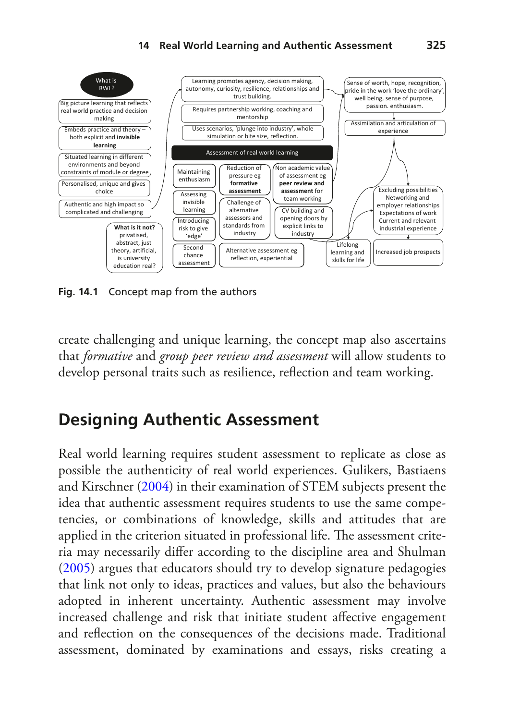<span id="page-2-0"></span>

**Fig. 14.1** Concept map from the authors

create challenging and unique learning, the concept map also ascertains that *formative* and *group peer review and assessment* will allow students to develop personal traits such as resilience, reflection and team working.

# **Designing Authentic Assessment**

Real world learning requires student assessment to replicate as close as possible the authenticity of real world experiences. Gulikers, Bastiaens and Kirschner ([2004\)](#page-17-1) in their examination of STEM subjects present the idea that authentic assessment requires students to use the same competencies, or combinations of knowledge, skills and attitudes that are applied in the criterion situated in professional life. The assessment criteria may necessarily differ according to the discipline area and Shulman ([2005\)](#page-18-3) argues that educators should try to develop signature pedagogies that link not only to ideas, practices and values, but also the behaviours adopted in inherent uncertainty. Authentic assessment may involve increased challenge and risk that initiate student affective engagement and reflection on the consequences of the decisions made. Traditional assessment, dominated by examinations and essays, risks creating a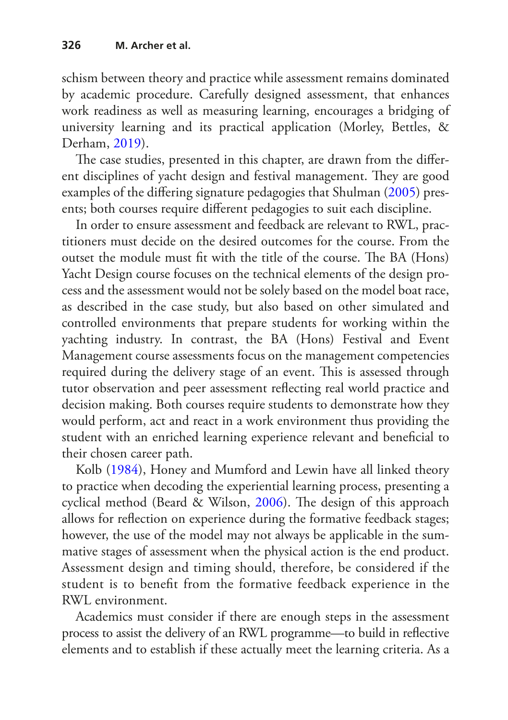schism between theory and practice while assessment remains dominated by academic procedure. Carefully designed assessment, that enhances work readiness as well as measuring learning, encourages a bridging of university learning and its practical application (Morley, Bettles, & Derham, [2019\)](#page-17-2).

The case studies, presented in this chapter, are drawn from the different disciplines of yacht design and festival management. They are good examples of the differing signature pedagogies that Shulman ([2005\)](#page-18-3) presents; both courses require different pedagogies to suit each discipline.

In order to ensure assessment and feedback are relevant to RWL, practitioners must decide on the desired outcomes for the course. From the outset the module must fit with the title of the course. The BA (Hons) Yacht Design course focuses on the technical elements of the design process and the assessment would not be solely based on the model boat race, as described in the case study, but also based on other simulated and controlled environments that prepare students for working within the yachting industry. In contrast, the BA (Hons) Festival and Event Management course assessments focus on the management competencies required during the delivery stage of an event. This is assessed through tutor observation and peer assessment reflecting real world practice and decision making. Both courses require students to demonstrate how they would perform, act and react in a work environment thus providing the student with an enriched learning experience relevant and beneficial to their chosen career path.

Kolb [\(1984](#page-17-3)), Honey and Mumford and Lewin have all linked theory to practice when decoding the experiential learning process, presenting a cyclical method (Beard & Wilson, [2006\)](#page-16-0). The design of this approach allows for reflection on experience during the formative feedback stages; however, the use of the model may not always be applicable in the summative stages of assessment when the physical action is the end product. Assessment design and timing should, therefore, be considered if the student is to benefit from the formative feedback experience in the RWL environment.

Academics must consider if there are enough steps in the assessment process to assist the delivery of an RWL programme—to build in reflective elements and to establish if these actually meet the learning criteria. As a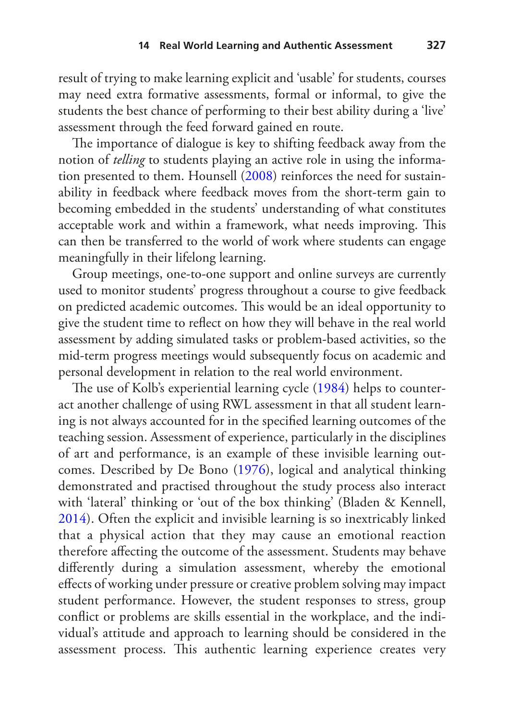result of trying to make learning explicit and 'usable' for students, courses may need extra formative assessments, formal or informal, to give the students the best chance of performing to their best ability during a 'live' assessment through the feed forward gained en route.

The importance of dialogue is key to shifting feedback away from the notion of *telling* to students playing an active role in using the information presented to them. Hounsell ([2008\)](#page-17-4) reinforces the need for sustainability in feedback where feedback moves from the short-term gain to becoming embedded in the students' understanding of what constitutes acceptable work and within a framework, what needs improving. This can then be transferred to the world of work where students can engage meaningfully in their lifelong learning.

Group meetings, one-to-one support and online surveys are currently used to monitor students' progress throughout a course to give feedback on predicted academic outcomes. This would be an ideal opportunity to give the student time to reflect on how they will behave in the real world assessment by adding simulated tasks or problem-based activities, so the mid-term progress meetings would subsequently focus on academic and personal development in relation to the real world environment.

The use of Kolb's experiential learning cycle ([1984](#page-17-3)) helps to counteract another challenge of using RWL assessment in that all student learning is not always accounted for in the specified learning outcomes of the teaching session. Assessment of experience, particularly in the disciplines of art and performance, is an example of these invisible learning outcomes. Described by De Bono [\(1976\)](#page-17-5), logical and analytical thinking demonstrated and practised throughout the study process also interact with 'lateral' thinking or 'out of the box thinking' (Bladen & Kennell, [2014](#page-16-1)). Often the explicit and invisible learning is so inextricably linked that a physical action that they may cause an emotional reaction therefore affecting the outcome of the assessment. Students may behave differently during a simulation assessment, whereby the emotional effects of working under pressure or creative problem solving may impact student performance. However, the student responses to stress, group conflict or problems are skills essential in the workplace, and the individual's attitude and approach to learning should be considered in the assessment process. This authentic learning experience creates very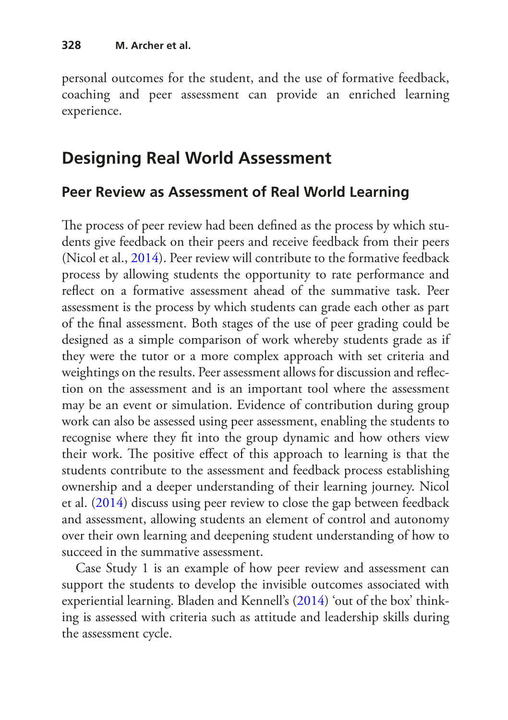personal outcomes for the student, and the use of formative feedback, coaching and peer assessment can provide an enriched learning experience.

# **Designing Real World Assessment**

## **Peer Review as Assessment of Real World Learning**

The process of peer review had been defined as the process by which students give feedback on their peers and receive feedback from their peers (Nicol et al., [2014](#page-18-1)). Peer review will contribute to the formative feedback process by allowing students the opportunity to rate performance and reflect on a formative assessment ahead of the summative task. Peer assessment is the process by which students can grade each other as part of the final assessment. Both stages of the use of peer grading could be designed as a simple comparison of work whereby students grade as if they were the tutor or a more complex approach with set criteria and weightings on the results. Peer assessment allows for discussion and reflection on the assessment and is an important tool where the assessment may be an event or simulation. Evidence of contribution during group work can also be assessed using peer assessment, enabling the students to recognise where they fit into the group dynamic and how others view their work. The positive effect of this approach to learning is that the students contribute to the assessment and feedback process establishing ownership and a deeper understanding of their learning journey. Nicol et al. ([2014\)](#page-18-1) discuss using peer review to close the gap between feedback and assessment, allowing students an element of control and autonomy over their own learning and deepening student understanding of how to succeed in the summative assessment.

Case Study 1 is an example of how peer review and assessment can support the students to develop the invisible outcomes associated with experiential learning. Bladen and Kennell's [\(2014](#page-16-1)) 'out of the box' thinking is assessed with criteria such as attitude and leadership skills during the assessment cycle.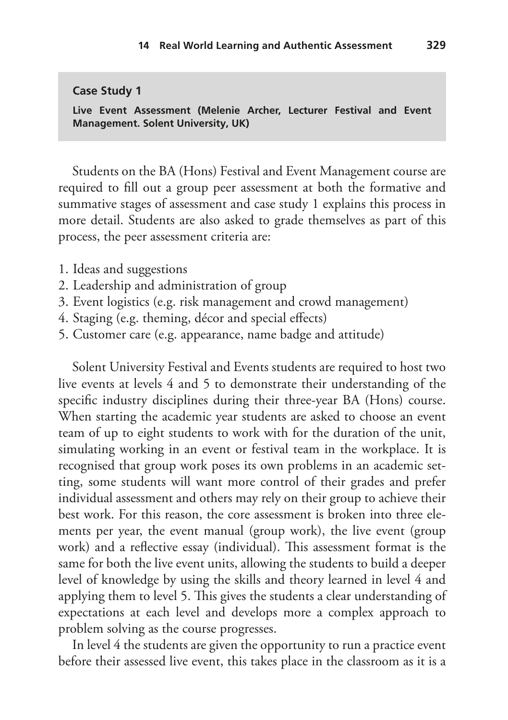#### **Case Study 1**

**Live Event Assessment (Melenie Archer, Lecturer Festival and Event Management. Solent University, UK)**

Students on the BA (Hons) Festival and Event Management course are required to fill out a group peer assessment at both the formative and summative stages of assessment and case study 1 explains this process in more detail. Students are also asked to grade themselves as part of this process, the peer assessment criteria are:

- 1. Ideas and suggestions
- 2. Leadership and administration of group
- 3. Event logistics (e.g. risk management and crowd management)
- 4. Staging (e.g. theming, décor and special effects)
- 5. Customer care (e.g. appearance, name badge and attitude)

Solent University Festival and Events students are required to host two live events at levels 4 and 5 to demonstrate their understanding of the specific industry disciplines during their three-year BA (Hons) course. When starting the academic year students are asked to choose an event team of up to eight students to work with for the duration of the unit, simulating working in an event or festival team in the workplace. It is recognised that group work poses its own problems in an academic setting, some students will want more control of their grades and prefer individual assessment and others may rely on their group to achieve their best work. For this reason, the core assessment is broken into three elements per year, the event manual (group work), the live event (group work) and a reflective essay (individual). This assessment format is the same for both the live event units, allowing the students to build a deeper level of knowledge by using the skills and theory learned in level 4 and applying them to level 5. This gives the students a clear understanding of expectations at each level and develops more a complex approach to problem solving as the course progresses.

In level 4 the students are given the opportunity to run a practice event before their assessed live event, this takes place in the classroom as it is a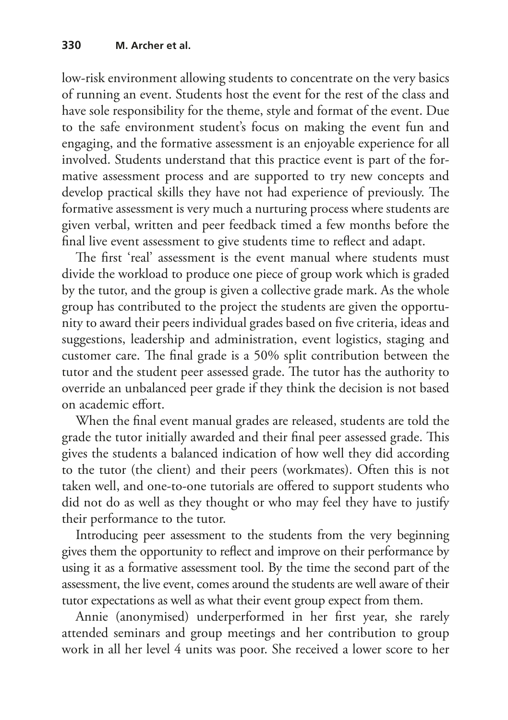low-risk environment allowing students to concentrate on the very basics of running an event. Students host the event for the rest of the class and have sole responsibility for the theme, style and format of the event. Due to the safe environment student's focus on making the event fun and engaging, and the formative assessment is an enjoyable experience for all involved. Students understand that this practice event is part of the formative assessment process and are supported to try new concepts and develop practical skills they have not had experience of previously. The formative assessment is very much a nurturing process where students are given verbal, written and peer feedback timed a few months before the final live event assessment to give students time to reflect and adapt.

The first 'real' assessment is the event manual where students must divide the workload to produce one piece of group work which is graded by the tutor, and the group is given a collective grade mark. As the whole group has contributed to the project the students are given the opportunity to award their peers individual grades based on five criteria, ideas and suggestions, leadership and administration, event logistics, staging and customer care. The final grade is a 50% split contribution between the tutor and the student peer assessed grade. The tutor has the authority to override an unbalanced peer grade if they think the decision is not based on academic effort.

When the final event manual grades are released, students are told the grade the tutor initially awarded and their final peer assessed grade. This gives the students a balanced indication of how well they did according to the tutor (the client) and their peers (workmates). Often this is not taken well, and one-to-one tutorials are offered to support students who did not do as well as they thought or who may feel they have to justify their performance to the tutor.

Introducing peer assessment to the students from the very beginning gives them the opportunity to reflect and improve on their performance by using it as a formative assessment tool. By the time the second part of the assessment, the live event, comes around the students are well aware of their tutor expectations as well as what their event group expect from them.

Annie (anonymised) underperformed in her first year, she rarely attended seminars and group meetings and her contribution to group work in all her level 4 units was poor. She received a lower score to her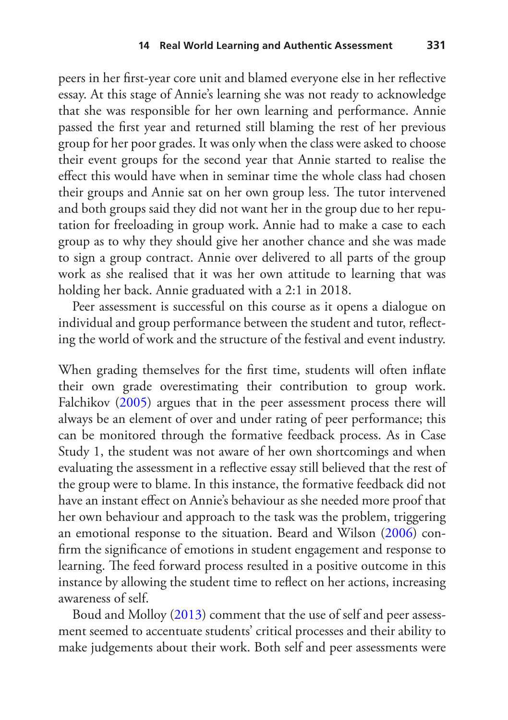peers in her first-year core unit and blamed everyone else in her reflective essay. At this stage of Annie's learning she was not ready to acknowledge that she was responsible for her own learning and performance. Annie passed the first year and returned still blaming the rest of her previous group for her poor grades. It was only when the class were asked to choose their event groups for the second year that Annie started to realise the effect this would have when in seminar time the whole class had chosen their groups and Annie sat on her own group less. The tutor intervened and both groups said they did not want her in the group due to her reputation for freeloading in group work. Annie had to make a case to each group as to why they should give her another chance and she was made to sign a group contract. Annie over delivered to all parts of the group work as she realised that it was her own attitude to learning that was holding her back. Annie graduated with a 2:1 in 2018.

Peer assessment is successful on this course as it opens a dialogue on individual and group performance between the student and tutor, reflecting the world of work and the structure of the festival and event industry.

When grading themselves for the first time, students will often inflate their own grade overestimating their contribution to group work. Falchikov ([2005\)](#page-17-6) argues that in the peer assessment process there will always be an element of over and under rating of peer performance; this can be monitored through the formative feedback process. As in Case Study 1, the student was not aware of her own shortcomings and when evaluating the assessment in a reflective essay still believed that the rest of the group were to blame. In this instance, the formative feedback did not have an instant effect on Annie's behaviour as she needed more proof that her own behaviour and approach to the task was the problem, triggering an emotional response to the situation. Beard and Wilson [\(2006](#page-16-0)) confirm the significance of emotions in student engagement and response to learning. The feed forward process resulted in a positive outcome in this instance by allowing the student time to reflect on her actions, increasing awareness of self.

Boud and Molloy ([2013\)](#page-17-0) comment that the use of self and peer assessment seemed to accentuate students' critical processes and their ability to make judgements about their work. Both self and peer assessments were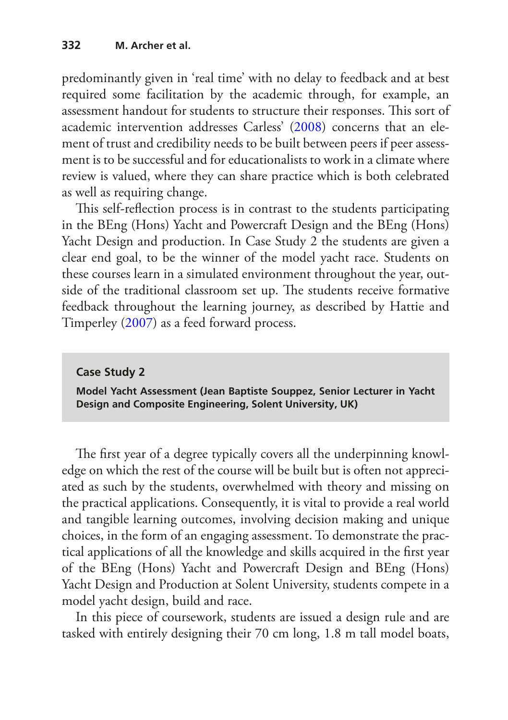predominantly given in 'real time' with no delay to feedback and at best required some facilitation by the academic through, for example, an assessment handout for students to structure their responses. This sort of academic intervention addresses Carless' ([2008\)](#page-17-7) concerns that an element of trust and credibility needs to be built between peers if peer assessment is to be successful and for educationalists to work in a climate where review is valued, where they can share practice which is both celebrated as well as requiring change.

This self-reflection process is in contrast to the students participating in the BEng (Hons) Yacht and Powercraft Design and the BEng (Hons) Yacht Design and production. In Case Study 2 the students are given a clear end goal, to be the winner of the model yacht race. Students on these courses learn in a simulated environment throughout the year, outside of the traditional classroom set up. The students receive formative feedback throughout the learning journey, as described by Hattie and Timperley [\(2007](#page-17-8)) as a feed forward process.

#### **Case Study 2**

**Model Yacht Assessment (Jean Baptiste Souppez, Senior Lecturer in Yacht Design and Composite Engineering, Solent University, UK)**

The first year of a degree typically covers all the underpinning knowledge on which the rest of the course will be built but is often not appreciated as such by the students, overwhelmed with theory and missing on the practical applications. Consequently, it is vital to provide a real world and tangible learning outcomes, involving decision making and unique choices, in the form of an engaging assessment. To demonstrate the practical applications of all the knowledge and skills acquired in the first year of the BEng (Hons) Yacht and Powercraft Design and BEng (Hons) Yacht Design and Production at Solent University, students compete in a model yacht design, build and race.

In this piece of coursework, students are issued a design rule and are tasked with entirely designing their 70 cm long, 1.8 m tall model boats,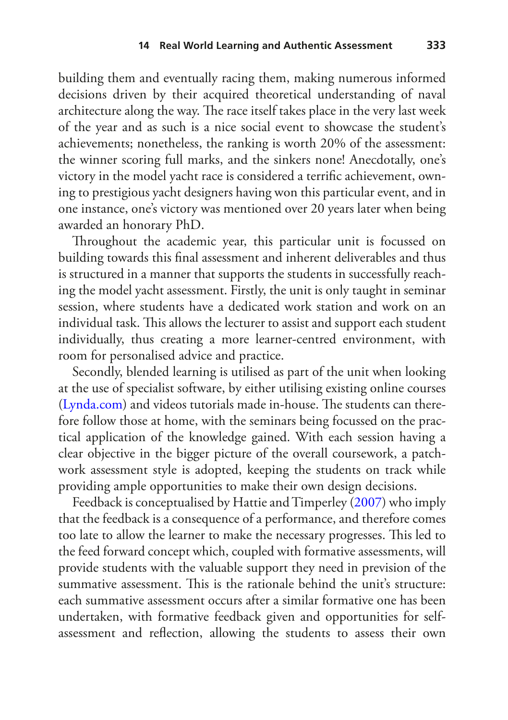building them and eventually racing them, making numerous informed decisions driven by their acquired theoretical understanding of naval architecture along the way. The race itself takes place in the very last week of the year and as such is a nice social event to showcase the student's achievements; nonetheless, the ranking is worth 20% of the assessment: the winner scoring full marks, and the sinkers none! Anecdotally, one's victory in the model yacht race is considered a terrific achievement, owning to prestigious yacht designers having won this particular event, and in one instance, one's victory was mentioned over 20 years later when being awarded an honorary PhD.

Throughout the academic year, this particular unit is focussed on building towards this final assessment and inherent deliverables and thus is structured in a manner that supports the students in successfully reaching the model yacht assessment. Firstly, the unit is only taught in seminar session, where students have a dedicated work station and work on an individual task. This allows the lecturer to assist and support each student individually, thus creating a more learner-centred environment, with room for personalised advice and practice.

Secondly, blended learning is utilised as part of the unit when looking at the use of specialist software, by either utilising existing online courses ([Lynda.com](http://lynda.com)) and videos tutorials made in-house. The students can therefore follow those at home, with the seminars being focussed on the practical application of the knowledge gained. With each session having a clear objective in the bigger picture of the overall coursework, a patchwork assessment style is adopted, keeping the students on track while providing ample opportunities to make their own design decisions.

Feedback is conceptualised by Hattie and Timperley ([2007\)](#page-17-8) who imply that the feedback is a consequence of a performance, and therefore comes too late to allow the learner to make the necessary progresses. This led to the feed forward concept which, coupled with formative assessments, will provide students with the valuable support they need in prevision of the summative assessment. This is the rationale behind the unit's structure: each summative assessment occurs after a similar formative one has been undertaken, with formative feedback given and opportunities for selfassessment and reflection, allowing the students to assess their own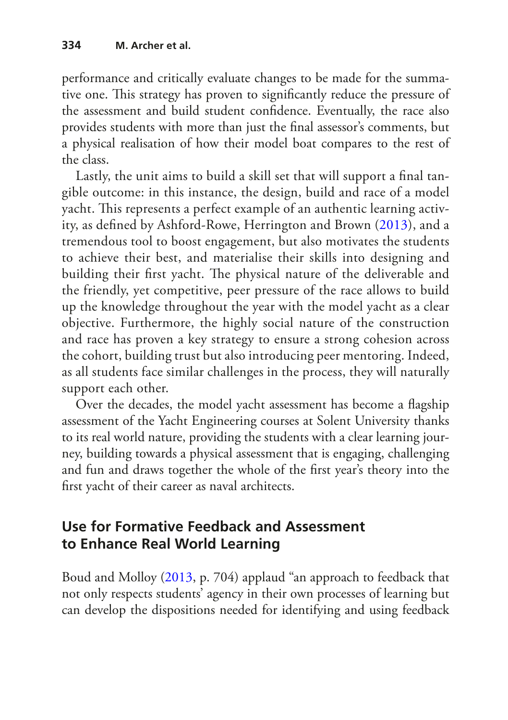performance and critically evaluate changes to be made for the summative one. This strategy has proven to significantly reduce the pressure of the assessment and build student confidence. Eventually, the race also provides students with more than just the final assessor's comments, but a physical realisation of how their model boat compares to the rest of the class.

Lastly, the unit aims to build a skill set that will support a final tangible outcome: in this instance, the design, build and race of a model yacht. This represents a perfect example of an authentic learning activity, as defined by Ashford-Rowe, Herrington and Brown [\(2013](#page-16-2)), and a tremendous tool to boost engagement, but also motivates the students to achieve their best, and materialise their skills into designing and building their first yacht. The physical nature of the deliverable and the friendly, yet competitive, peer pressure of the race allows to build up the knowledge throughout the year with the model yacht as a clear objective. Furthermore, the highly social nature of the construction and race has proven a key strategy to ensure a strong cohesion across the cohort, building trust but also introducing peer mentoring. Indeed, as all students face similar challenges in the process, they will naturally support each other.

Over the decades, the model yacht assessment has become a flagship assessment of the Yacht Engineering courses at Solent University thanks to its real world nature, providing the students with a clear learning journey, building towards a physical assessment that is engaging, challenging and fun and draws together the whole of the first year's theory into the first yacht of their career as naval architects.

## **Use for Formative Feedback and Assessment to Enhance Real World Learning**

Boud and Molloy [\(2013](#page-17-0), p. 704) applaud "an approach to feedback that not only respects students' agency in their own processes of learning but can develop the dispositions needed for identifying and using feedback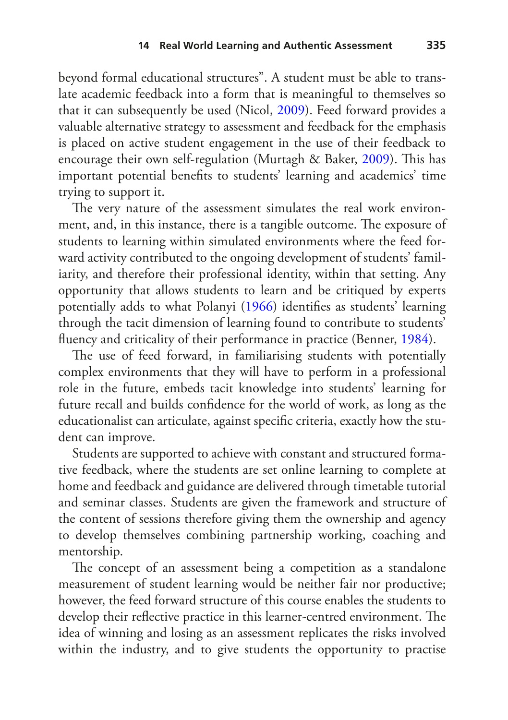beyond formal educational structures". A student must be able to translate academic feedback into a form that is meaningful to themselves so that it can subsequently be used (Nicol, [2009\)](#page-18-4). Feed forward provides a valuable alternative strategy to assessment and feedback for the emphasis is placed on active student engagement in the use of their feedback to encourage their own self-regulation (Murtagh & Baker, [2009](#page-17-9)). This has important potential benefits to students' learning and academics' time trying to support it.

The very nature of the assessment simulates the real work environment, and, in this instance, there is a tangible outcome. The exposure of students to learning within simulated environments where the feed forward activity contributed to the ongoing development of students' familiarity, and therefore their professional identity, within that setting. Any opportunity that allows students to learn and be critiqued by experts potentially adds to what Polanyi ([1966\)](#page-18-5) identifies as students' learning through the tacit dimension of learning found to contribute to students' fluency and criticality of their performance in practice (Benner, [1984](#page-16-3)).

The use of feed forward, in familiarising students with potentially complex environments that they will have to perform in a professional role in the future, embeds tacit knowledge into students' learning for future recall and builds confidence for the world of work, as long as the educationalist can articulate, against specific criteria, exactly how the student can improve.

Students are supported to achieve with constant and structured formative feedback, where the students are set online learning to complete at home and feedback and guidance are delivered through timetable tutorial and seminar classes. Students are given the framework and structure of the content of sessions therefore giving them the ownership and agency to develop themselves combining partnership working, coaching and mentorship.

The concept of an assessment being a competition as a standalone measurement of student learning would be neither fair nor productive; however, the feed forward structure of this course enables the students to develop their reflective practice in this learner-centred environment. The idea of winning and losing as an assessment replicates the risks involved within the industry, and to give students the opportunity to practise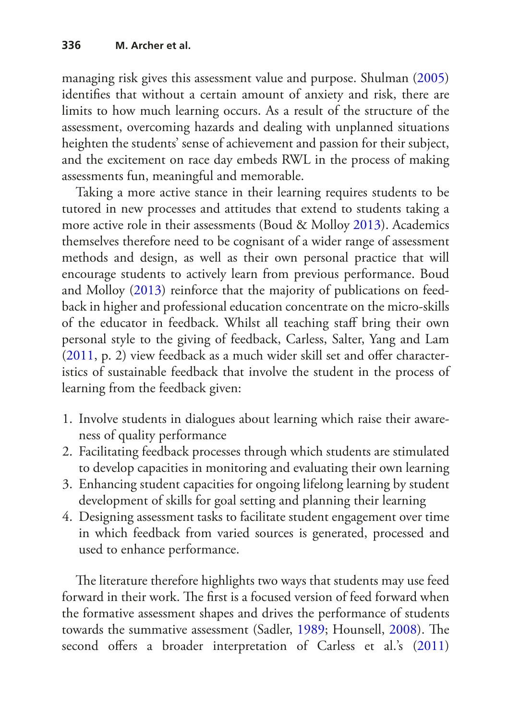managing risk gives this assessment value and purpose. Shulman ([2005\)](#page-18-3) identifies that without a certain amount of anxiety and risk, there are limits to how much learning occurs. As a result of the structure of the assessment, overcoming hazards and dealing with unplanned situations heighten the students' sense of achievement and passion for their subject, and the excitement on race day embeds RWL in the process of making assessments fun, meaningful and memorable.

Taking a more active stance in their learning requires students to be tutored in new processes and attitudes that extend to students taking a more active role in their assessments (Boud & Molloy [2013\)](#page-17-0). Academics themselves therefore need to be cognisant of a wider range of assessment methods and design, as well as their own personal practice that will encourage students to actively learn from previous performance. Boud and Molloy [\(2013](#page-17-0)) reinforce that the majority of publications on feedback in higher and professional education concentrate on the micro-skills of the educator in feedback. Whilst all teaching staff bring their own personal style to the giving of feedback, Carless, Salter, Yang and Lam ([2011,](#page-17-10) p. 2) view feedback as a much wider skill set and offer characteristics of sustainable feedback that involve the student in the process of learning from the feedback given:

- 1. Involve students in dialogues about learning which raise their awareness of quality performance
- 2. Facilitating feedback processes through which students are stimulated to develop capacities in monitoring and evaluating their own learning
- 3. Enhancing student capacities for ongoing lifelong learning by student development of skills for goal setting and planning their learning
- 4. Designing assessment tasks to facilitate student engagement over time in which feedback from varied sources is generated, processed and used to enhance performance.

The literature therefore highlights two ways that students may use feed forward in their work. The first is a focused version of feed forward when the formative assessment shapes and drives the performance of students towards the summative assessment (Sadler, [1989](#page-18-6); Hounsell, [2008\)](#page-17-4). The second offers a broader interpretation of Carless et al.'s ([2011\)](#page-17-10)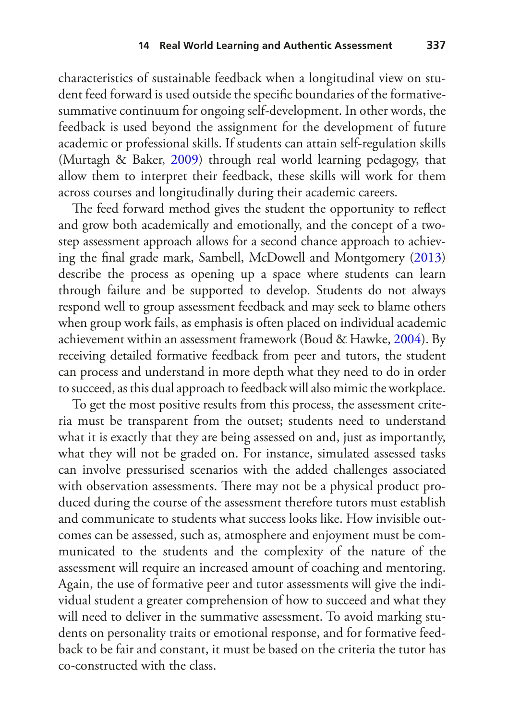characteristics of sustainable feedback when a longitudinal view on student feed forward is used outside the specific boundaries of the formativesummative continuum for ongoing self-development. In other words, the feedback is used beyond the assignment for the development of future academic or professional skills. If students can attain self-regulation skills (Murtagh & Baker, [2009](#page-17-9)) through real world learning pedagogy, that allow them to interpret their feedback, these skills will work for them across courses and longitudinally during their academic careers.

The feed forward method gives the student the opportunity to reflect and grow both academically and emotionally, and the concept of a twostep assessment approach allows for a second chance approach to achieving the final grade mark, Sambell, McDowell and Montgomery [\(2013\)](#page-18-7) describe the process as opening up a space where students can learn through failure and be supported to develop. Students do not always respond well to group assessment feedback and may seek to blame others when group work fails, as emphasis is often placed on individual academic achievement within an assessment framework (Boud & Hawke, [2004](#page-16-4)). By receiving detailed formative feedback from peer and tutors, the student can process and understand in more depth what they need to do in order to succeed, as this dual approach to feedback will also mimic the workplace.

To get the most positive results from this process, the assessment criteria must be transparent from the outset; students need to understand what it is exactly that they are being assessed on and, just as importantly, what they will not be graded on. For instance, simulated assessed tasks can involve pressurised scenarios with the added challenges associated with observation assessments. There may not be a physical product produced during the course of the assessment therefore tutors must establish and communicate to students what success looks like. How invisible outcomes can be assessed, such as, atmosphere and enjoyment must be communicated to the students and the complexity of the nature of the assessment will require an increased amount of coaching and mentoring. Again, the use of formative peer and tutor assessments will give the individual student a greater comprehension of how to succeed and what they will need to deliver in the summative assessment. To avoid marking students on personality traits or emotional response, and for formative feedback to be fair and constant, it must be based on the criteria the tutor has co-constructed with the class.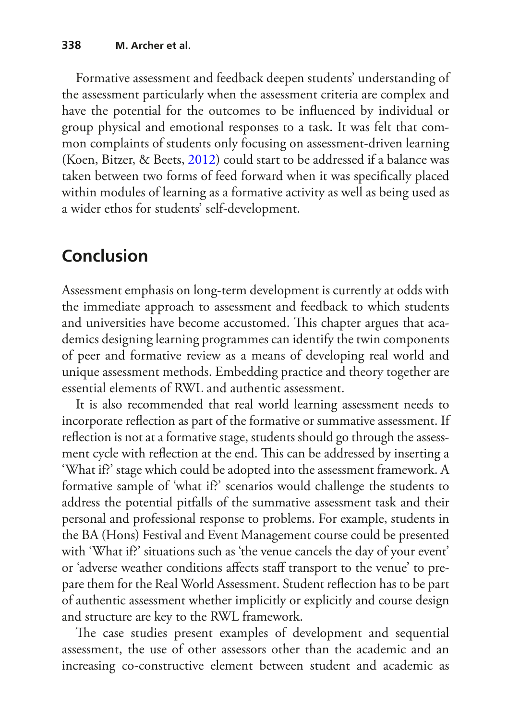Formative assessment and feedback deepen students' understanding of the assessment particularly when the assessment criteria are complex and have the potential for the outcomes to be influenced by individual or group physical and emotional responses to a task. It was felt that common complaints of students only focusing on assessment-driven learning (Koen, Bitzer, & Beets, [2012](#page-17-11)) could start to be addressed if a balance was taken between two forms of feed forward when it was specifically placed within modules of learning as a formative activity as well as being used as a wider ethos for students' self-development.

# **Conclusion**

Assessment emphasis on long-term development is currently at odds with the immediate approach to assessment and feedback to which students and universities have become accustomed. This chapter argues that academics designing learning programmes can identify the twin components of peer and formative review as a means of developing real world and unique assessment methods. Embedding practice and theory together are essential elements of RWL and authentic assessment.

It is also recommended that real world learning assessment needs to incorporate reflection as part of the formative or summative assessment. If reflection is not at a formative stage, students should go through the assessment cycle with reflection at the end. This can be addressed by inserting a 'What if?' stage which could be adopted into the assessment framework. A formative sample of 'what if?' scenarios would challenge the students to address the potential pitfalls of the summative assessment task and their personal and professional response to problems. For example, students in the BA (Hons) Festival and Event Management course could be presented with 'What if?' situations such as 'the venue cancels the day of your event' or 'adverse weather conditions affects staff transport to the venue' to prepare them for the Real World Assessment. Student reflection has to be part of authentic assessment whether implicitly or explicitly and course design and structure are key to the RWL framework.

The case studies present examples of development and sequential assessment, the use of other assessors other than the academic and an increasing co-constructive element between student and academic as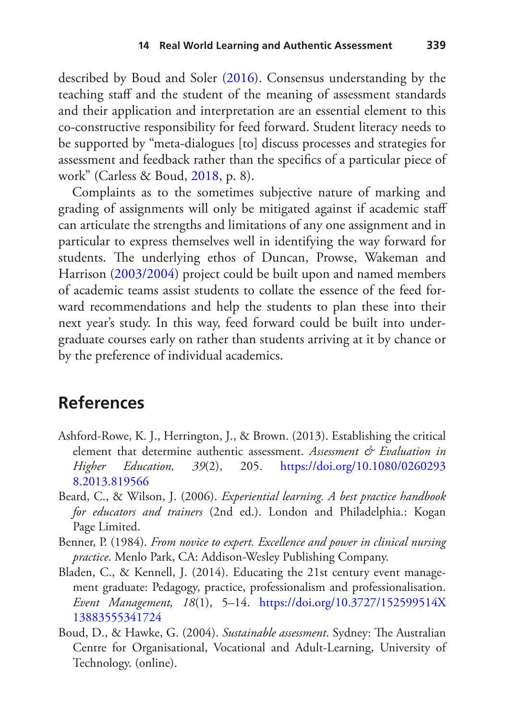described by Boud and Soler [\(2016](#page-17-12)). Consensus understanding by the teaching staff and the student of the meaning of assessment standards and their application and interpretation are an essential element to this co-constructive responsibility for feed forward. Student literacy needs to be supported by "meta-dialogues [to] discuss processes and strategies for assessment and feedback rather than the specifics of a particular piece of work" (Carless & Boud, [2018,](#page-17-13) p. 8).

Complaints as to the sometimes subjective nature of marking and grading of assignments will only be mitigated against if academic staff can articulate the strengths and limitations of any one assignment and in particular to express themselves well in identifying the way forward for students. The underlying ethos of Duncan, Prowse, Wakeman and Harrison ([2003/2004](#page-17-14)) project could be built upon and named members of academic teams assist students to collate the essence of the feed forward recommendations and help the students to plan these into their next year's study. In this way, feed forward could be built into undergraduate courses early on rather than students arriving at it by chance or by the preference of individual academics.

## **References**

- <span id="page-16-2"></span>Ashford-Rowe, K. J., Herrington, J., & Brown. (2013). Establishing the critical element that determine authentic assessment. *Assessment & Evaluation in Higher Education, 39*(2), 205. [https://doi.org/10.1080/0260293](https://doi.org/10.1080/02602938.2013.819566) [8.2013.819566](https://doi.org/10.1080/02602938.2013.819566)
- <span id="page-16-0"></span>Beard, C., & Wilson, J. (2006). *Experiential learning. A best practice handbook for educators and trainers* (2nd ed.). London and Philadelphia.: Kogan Page Limited.
- <span id="page-16-3"></span>Benner, P. (1984). *From novice to expert. Excellence and power in clinical nursing practice*. Menlo Park, CA: Addison-Wesley Publishing Company.
- <span id="page-16-1"></span>Bladen, C., & Kennell, J. (2014). Educating the 21st century event management graduate: Pedagogy, practice, professionalism and professionalisation. *Event Management, 18*(1), 5–14. [https://doi.org/10.3727/152599514X](https://doi.org/10.3727/152599514X13883555341724) [13883555341724](https://doi.org/10.3727/152599514X13883555341724)
- <span id="page-16-4"></span>Boud, D., & Hawke, G. (2004). *Sustainable assessment*. Sydney: The Australian Centre for Organisational, Vocational and Adult-Learning, University of Technology. (online).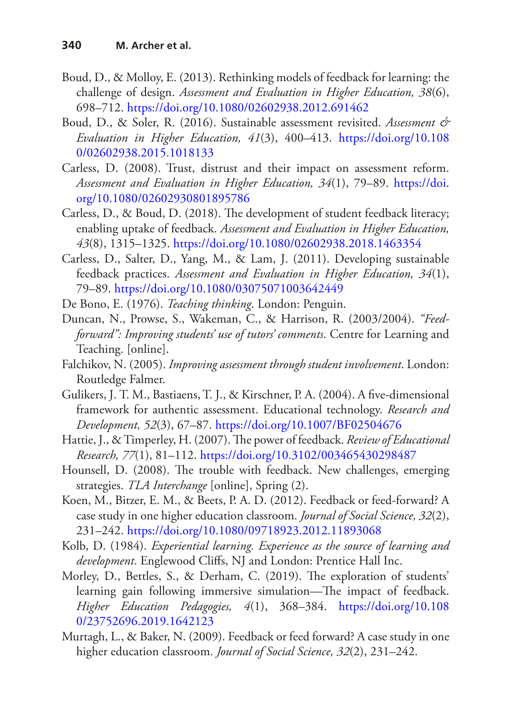- <span id="page-17-0"></span>Boud, D., & Molloy, E. (2013). Rethinking models of feedback for learning: the challenge of design. *Assessment and Evaluation in Higher Education, 38*(6), 698–712.<https://doi.org/10.1080/02602938.2012.691462>
- <span id="page-17-12"></span>Boud, D., & Soler, R. (2016). Sustainable assessment revisited. *Assessment & Evaluation in Higher Education, 41*(3), 400–413. [https://doi.org/10.108](https://doi.org/10.1080/02602938.2015.1018133) [0/02602938.2015.1018133](https://doi.org/10.1080/02602938.2015.1018133)
- <span id="page-17-7"></span>Carless, D. (2008). Trust, distrust and their impact on assessment reform. *Assessment and Evaluation in Higher Education, 34*(1), 79–89. [https://doi.](https://doi.org/10.1080/02602930801895786) [org/10.1080/02602930801895786](https://doi.org/10.1080/02602930801895786)
- <span id="page-17-13"></span>Carless, D., & Boud, D. (2018). The development of student feedback literacy; enabling uptake of feedback. *Assessment and Evaluation in Higher Education, 43*(8), 1315–1325.<https://doi.org/10.1080/02602938.2018.1463354>
- <span id="page-17-10"></span>Carless, D., Salter, D., Yang, M., & Lam, J. (2011). Developing sustainable feedback practices. *Assessment and Evaluation in Higher Education, 34*(1), 79–89. <https://doi.org/10.1080/03075071003642449>
- <span id="page-17-5"></span>De Bono, E. (1976). *Teaching thinking*. London: Penguin.
- <span id="page-17-14"></span>Duncan, N., Prowse, S., Wakeman, C., & Harrison, R. (2003/2004). *"Feedforward": Improving students' use of tutors' comments*. Centre for Learning and Teaching. [online].
- <span id="page-17-6"></span>Falchikov, N. (2005). *Improving assessment through student involvement*. London: Routledge Falmer.
- <span id="page-17-1"></span>Gulikers, J. T. M., Bastiaens, T. J., & Kirschner, P. A. (2004). A five-dimensional framework for authentic assessment. Educational technology. *Research and Development, 52*(3), 67–87. <https://doi.org/10.1007/BF02504676>
- <span id="page-17-8"></span>Hattie, J., & Timperley, H. (2007). The power of feedback. *Review of Educational Research, 77*(1), 81–112.<https://doi.org/10.3102/003465430298487>
- <span id="page-17-4"></span>Hounsell, D. (2008). The trouble with feedback. New challenges, emerging strategies. *TLA Interchange* [online], Spring (2).
- <span id="page-17-11"></span>Koen, M., Bitzer, E. M., & Beets, P. A. D. (2012). Feedback or feed-forward? A case study in one higher education classroom. *Journal of Social Science, 32*(2), 231–242.<https://doi.org/10.1080/09718923.2012.11893068>
- <span id="page-17-3"></span>Kolb, D. (1984). *Experiential learning. Experience as the source of learning and development*. Englewood Cliffs, NJ and London: Prentice Hall Inc.
- <span id="page-17-2"></span>Morley, D., Bettles, S., & Derham, C. (2019). The exploration of students' learning gain following immersive simulation—The impact of feedback. *Higher Education Pedagogies, 4*(1), 368–384. [https://doi.org/10.108](https://doi.org/10.1080/23752696.2019.1642123) [0/23752696.2019.1642123](https://doi.org/10.1080/23752696.2019.1642123)
- <span id="page-17-9"></span>Murtagh, L., & Baker, N. (2009). Feedback or feed forward? A case study in one higher education classroom. *Journal of Social Science, 32*(2), 231–242.